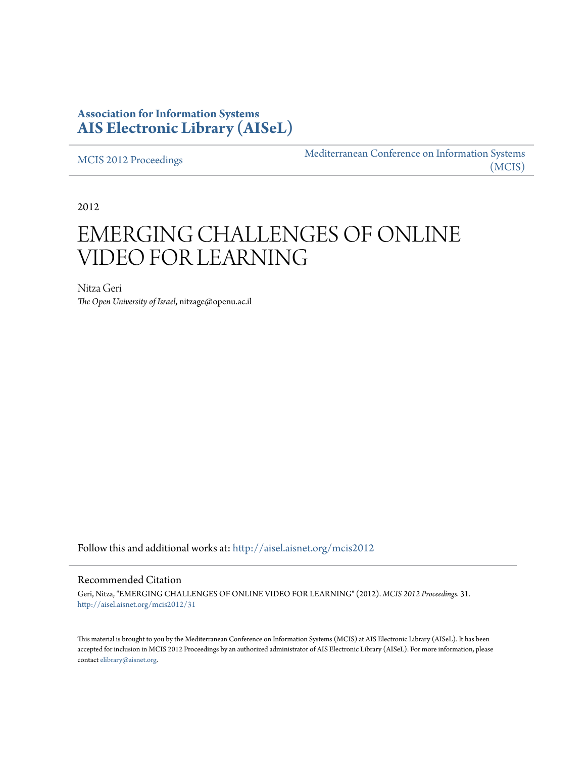# **Association for Information Systems [AIS Electronic Library \(AISeL\)](http://aisel.aisnet.org?utm_source=aisel.aisnet.org%2Fmcis2012%2F31&utm_medium=PDF&utm_campaign=PDFCoverPages)**

[MCIS 2012 Proceedings](http://aisel.aisnet.org/mcis2012?utm_source=aisel.aisnet.org%2Fmcis2012%2F31&utm_medium=PDF&utm_campaign=PDFCoverPages)

[Mediterranean Conference on Information Systems](http://aisel.aisnet.org/mcis?utm_source=aisel.aisnet.org%2Fmcis2012%2F31&utm_medium=PDF&utm_campaign=PDFCoverPages) [\(MCIS\)](http://aisel.aisnet.org/mcis?utm_source=aisel.aisnet.org%2Fmcis2012%2F31&utm_medium=PDF&utm_campaign=PDFCoverPages)

2012

# EMERGING CHALLENGES OF ONLINE VIDEO FOR LEARNING

Nitza Geri *The Open University of Israel*, nitzage@openu.ac.il

Follow this and additional works at: [http://aisel.aisnet.org/mcis2012](http://aisel.aisnet.org/mcis2012?utm_source=aisel.aisnet.org%2Fmcis2012%2F31&utm_medium=PDF&utm_campaign=PDFCoverPages)

#### Recommended Citation

Geri, Nitza, "EMERGING CHALLENGES OF ONLINE VIDEO FOR LEARNING" (2012). *MCIS 2012 Proceedings*. 31. [http://aisel.aisnet.org/mcis2012/31](http://aisel.aisnet.org/mcis2012/31?utm_source=aisel.aisnet.org%2Fmcis2012%2F31&utm_medium=PDF&utm_campaign=PDFCoverPages)

This material is brought to you by the Mediterranean Conference on Information Systems (MCIS) at AIS Electronic Library (AISeL). It has been accepted for inclusion in MCIS 2012 Proceedings by an authorized administrator of AIS Electronic Library (AISeL). For more information, please contact [elibrary@aisnet.org.](mailto:elibrary@aisnet.org%3E)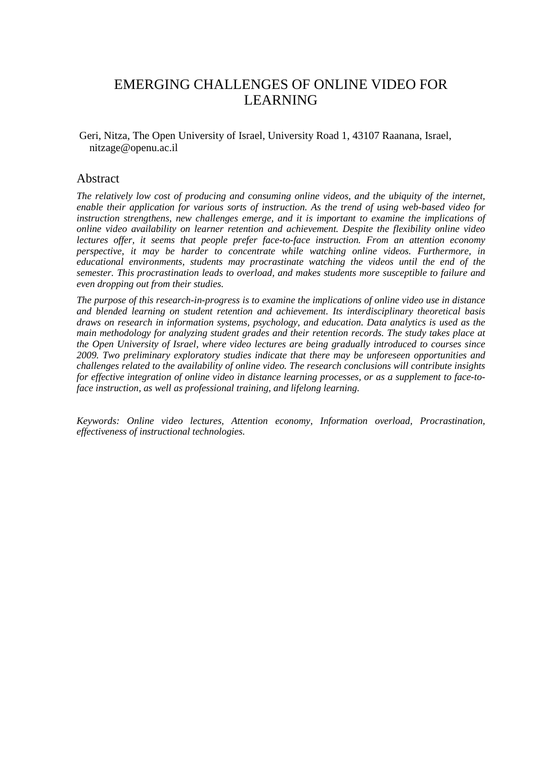# EMERGING CHALLENGES OF ONLINE VIDEO FOR LEARNING

 Geri, Nitza, The Open University of Israel, University Road 1, 43107 Raanana, Israel, nitzage@openu.ac.il

### Abstract

*The relatively low cost of producing and consuming online videos, and the ubiquity of the internet, enable their application for various sorts of instruction. As the trend of using web-based video for instruction strengthens, new challenges emerge, and it is important to examine the implications of online video availability on learner retention and achievement. Despite the flexibility online video lectures offer, it seems that people prefer face-to-face instruction. From an attention economy perspective, it may be harder to concentrate while watching online videos. Furthermore, in educational environments, students may procrastinate watching the videos until the end of the semester. This procrastination leads to overload, and makes students more susceptible to failure and even dropping out from their studies.* 

*The purpose of this research-in-progress is to examine the implications of online video use in distance and blended learning on student retention and achievement. Its interdisciplinary theoretical basis draws on research in information systems, psychology, and education. Data analytics is used as the main methodology for analyzing student grades and their retention records. The study takes place at the Open University of Israel, where video lectures are being gradually introduced to courses since 2009. Two preliminary exploratory studies indicate that there may be unforeseen opportunities and challenges related to the availability of online video. The research conclusions will contribute insights for effective integration of online video in distance learning processes, or as a supplement to face-toface instruction, as well as professional training, and lifelong learning.* 

*Keywords: Online video lectures, Attention economy, Information overload, Procrastination, effectiveness of instructional technologies.*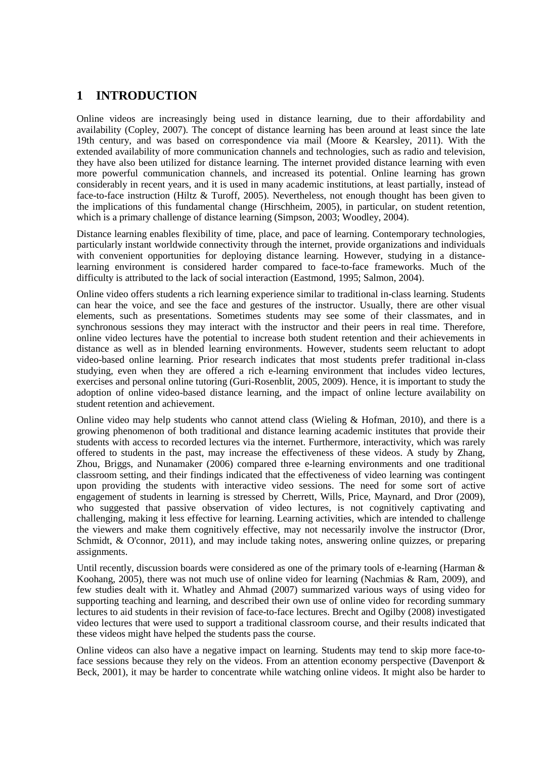## **1 INTRODUCTION**

Online videos are increasingly being used in distance learning, due to their affordability and availability (Copley, 2007). The concept of distance learning has been around at least since the late 19th century, and was based on correspondence via mail (Moore & Kearsley, 2011). With the extended availability of more communication channels and technologies, such as radio and television, they have also been utilized for distance learning. The internet provided distance learning with even more powerful communication channels, and increased its potential. Online learning has grown considerably in recent years, and it is used in many academic institutions, at least partially, instead of face-to-face instruction (Hiltz & Turoff, 2005). Nevertheless, not enough thought has been given to the implications of this fundamental change (Hirschheim, 2005), in particular, on student retention, which is a primary challenge of distance learning (Simpson, 2003; Woodley, 2004).

Distance learning enables flexibility of time, place, and pace of learning. Contemporary technologies, particularly instant worldwide connectivity through the internet, provide organizations and individuals with convenient opportunities for deploying distance learning. However, studying in a distancelearning environment is considered harder compared to face-to-face frameworks. Much of the difficulty is attributed to the lack of social interaction (Eastmond, 1995; Salmon, 2004).

Online video offers students a rich learning experience similar to traditional in-class learning. Students can hear the voice, and see the face and gestures of the instructor. Usually, there are other visual elements, such as presentations. Sometimes students may see some of their classmates, and in synchronous sessions they may interact with the instructor and their peers in real time. Therefore, online video lectures have the potential to increase both student retention and their achievements in distance as well as in blended learning environments. However, students seem reluctant to adopt video-based online learning. Prior research indicates that most students prefer traditional in-class studying, even when they are offered a rich e-learning environment that includes video lectures, exercises and personal online tutoring (Guri-Rosenblit, 2005, 2009). Hence, it is important to study the adoption of online video-based distance learning, and the impact of online lecture availability on student retention and achievement.

Online video may help students who cannot attend class (Wieling & Hofman, 2010), and there is a growing phenomenon of both traditional and distance learning academic institutes that provide their students with access to recorded lectures via the internet. Furthermore, interactivity, which was rarely offered to students in the past, may increase the effectiveness of these videos. A study by Zhang, Zhou, Briggs, and Nunamaker (2006) compared three e-learning environments and one traditional classroom setting, and their findings indicated that the effectiveness of video learning was contingent upon providing the students with interactive video sessions. The need for some sort of active engagement of students in learning is stressed by Cherrett, Wills, Price, Maynard, and Dror (2009), who suggested that passive observation of video lectures, is not cognitively captivating and challenging, making it less effective for learning. Learning activities, which are intended to challenge the viewers and make them cognitively effective, may not necessarily involve the instructor (Dror, Schmidt, & O'connor, 2011), and may include taking notes, answering online quizzes, or preparing assignments.

Until recently, discussion boards were considered as one of the primary tools of e-learning (Harman  $\&$ Koohang, 2005), there was not much use of online video for learning (Nachmias & Ram, 2009), and few studies dealt with it. Whatley and Ahmad (2007) summarized various ways of using video for supporting teaching and learning, and described their own use of online video for recording summary lectures to aid students in their revision of face-to-face lectures. Brecht and Ogilby (2008) investigated video lectures that were used to support a traditional classroom course, and their results indicated that these videos might have helped the students pass the course.

Online videos can also have a negative impact on learning. Students may tend to skip more face-toface sessions because they rely on the videos. From an attention economy perspective (Davenport & Beck, 2001), it may be harder to concentrate while watching online videos. It might also be harder to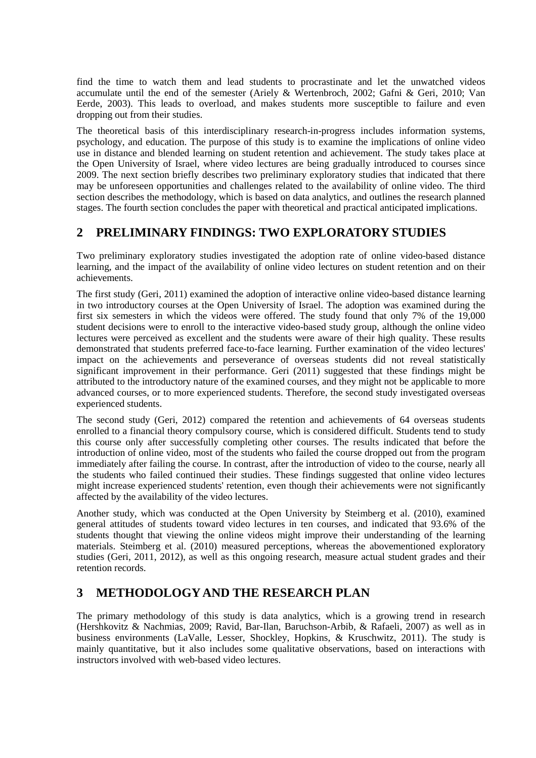find the time to watch them and lead students to procrastinate and let the unwatched videos accumulate until the end of the semester (Ariely & Wertenbroch, 2002; Gafni & Geri, 2010; Van Eerde, 2003). This leads to overload, and makes students more susceptible to failure and even dropping out from their studies.

The theoretical basis of this interdisciplinary research-in-progress includes information systems, psychology, and education. The purpose of this study is to examine the implications of online video use in distance and blended learning on student retention and achievement. The study takes place at the Open University of Israel, where video lectures are being gradually introduced to courses since 2009. The next section briefly describes two preliminary exploratory studies that indicated that there may be unforeseen opportunities and challenges related to the availability of online video. The third section describes the methodology, which is based on data analytics, and outlines the research planned stages. The fourth section concludes the paper with theoretical and practical anticipated implications.

# **2 PRELIMINARY FINDINGS: TWO EXPLORATORY STUDIES**

Two preliminary exploratory studies investigated the adoption rate of online video-based distance learning, and the impact of the availability of online video lectures on student retention and on their achievements.

The first study (Geri, 2011) examined the adoption of interactive online video-based distance learning in two introductory courses at the Open University of Israel. The adoption was examined during the first six semesters in which the videos were offered. The study found that only 7% of the 19,000 student decisions were to enroll to the interactive video-based study group, although the online video lectures were perceived as excellent and the students were aware of their high quality. These results demonstrated that students preferred face-to-face learning. Further examination of the video lectures' impact on the achievements and perseverance of overseas students did not reveal statistically significant improvement in their performance. Geri (2011) suggested that these findings might be attributed to the introductory nature of the examined courses, and they might not be applicable to more advanced courses, or to more experienced students. Therefore, the second study investigated overseas experienced students.

The second study (Geri, 2012) compared the retention and achievements of 64 overseas students enrolled to a financial theory compulsory course, which is considered difficult. Students tend to study this course only after successfully completing other courses. The results indicated that before the introduction of online video, most of the students who failed the course dropped out from the program immediately after failing the course. In contrast, after the introduction of video to the course, nearly all the students who failed continued their studies. These findings suggested that online video lectures might increase experienced students' retention, even though their achievements were not significantly affected by the availability of the video lectures.

Another study, which was conducted at the Open University by Steimberg et al. (2010), examined general attitudes of students toward video lectures in ten courses, and indicated that 93.6% of the students thought that viewing the online videos might improve their understanding of the learning materials. Steimberg et al. (2010) measured perceptions, whereas the abovementioned exploratory studies (Geri, 2011, 2012), as well as this ongoing research, measure actual student grades and their retention records.

# **3 METHODOLOGY AND THE RESEARCH PLAN**

The primary methodology of this study is data analytics, which is a growing trend in research (Hershkovitz & Nachmias, 2009; Ravid, Bar-Ilan, Baruchson-Arbib, & Rafaeli, 2007) as well as in business environments (LaValle, Lesser, Shockley, Hopkins, & Kruschwitz, 2011). The study is mainly quantitative, but it also includes some qualitative observations, based on interactions with instructors involved with web-based video lectures.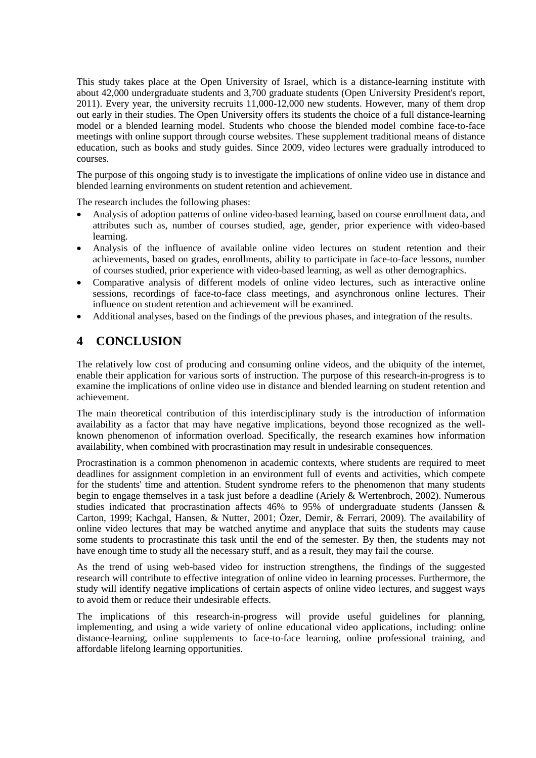This study takes place at the Open University of Israel, which is a distance-learning institute with about 42,000 undergraduate students and 3,700 graduate students (Open University President's report, 2011). Every year, the university recruits 11,000-12,000 new students. However, many of them drop out early in their studies. The Open University offers its students the choice of a full distance-learning model or a blended learning model. Students who choose the blended model combine face-to-face meetings with online support through course websites. These supplement traditional means of distance education, such as books and study guides. Since 2009, video lectures were gradually introduced to courses.

The purpose of this ongoing study is to investigate the implications of online video use in distance and blended learning environments on student retention and achievement.

The research includes the following phases:

- Analysis of adoption patterns of online video-based learning, based on course enrollment data, and attributes such as, number of courses studied, age, gender, prior experience with video-based learning.
- Analysis of the influence of available online video lectures on student retention and their achievements, based on grades, enrollments, ability to participate in face-to-face lessons, number of courses studied, prior experience with video-based learning, as well as other demographics.
- Comparative analysis of different models of online video lectures, such as interactive online sessions, recordings of face-to-face class meetings, and asynchronous online lectures. Their influence on student retention and achievement will be examined.
- Additional analyses, based on the findings of the previous phases, and integration of the results.

## **4 CONCLUSION**

The relatively low cost of producing and consuming online videos, and the ubiquity of the internet, enable their application for various sorts of instruction. The purpose of this research-in-progress is to examine the implications of online video use in distance and blended learning on student retention and achievement.

The main theoretical contribution of this interdisciplinary study is the introduction of information availability as a factor that may have negative implications, beyond those recognized as the wellknown phenomenon of information overload. Specifically, the research examines how information availability, when combined with procrastination may result in undesirable consequences.

Procrastination is a common phenomenon in academic contexts, where students are required to meet deadlines for assignment completion in an environment full of events and activities, which compete for the students' time and attention. Student syndrome refers to the phenomenon that many students begin to engage themselves in a task just before a deadline (Ariely & Wertenbroch, 2002). Numerous studies indicated that procrastination affects 46% to 95% of undergraduate students (Janssen & Carton, 1999; Kachgal, Hansen, & Nutter, 2001; Özer, Demir, & Ferrari, 2009). The availability of online video lectures that may be watched anytime and anyplace that suits the students may cause some students to procrastinate this task until the end of the semester. By then, the students may not have enough time to study all the necessary stuff, and as a result, they may fail the course.

As the trend of using web-based video for instruction strengthens, the findings of the suggested research will contribute to effective integration of online video in learning processes. Furthermore, the study will identify negative implications of certain aspects of online video lectures, and suggest ways to avoid them or reduce their undesirable effects.

The implications of this research-in-progress will provide useful guidelines for planning, implementing, and using a wide variety of online educational video applications, including: online distance-learning, online supplements to face-to-face learning, online professional training, and affordable lifelong learning opportunities.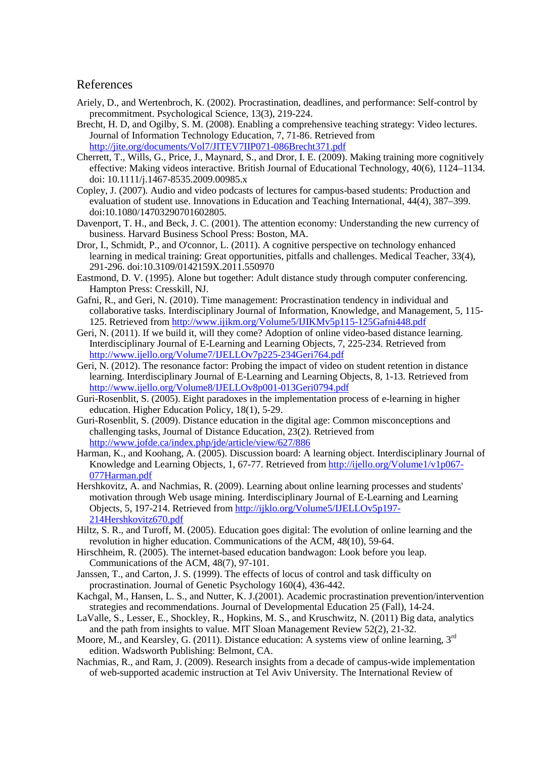#### References

- Ariely, D., and Wertenbroch, K. (2002). Procrastination, deadlines, and performance: Self-control by precommitment. Psychological Science, 13(3), 219-224.
- Brecht, H. D, and Ogilby, S. M. (2008). Enabling a comprehensive teaching strategy: Video lectures. Journal of Information Technology Education, 7, 71-86. Retrieved from http://jite.org/documents/Vol7/JITEV7IIP071-086Brecht371.pdf
- Cherrett, T., Wills, G., Price, J., Maynard, S., and Dror, I. E. (2009). Making training more cognitively effective: Making videos interactive. British Journal of Educational Technology, 40(6), 1124–1134. doi: 10.1111/j.1467-8535.2009.00985.x
- Copley, J. (2007). Audio and video podcasts of lectures for campus-based students: Production and evaluation of student use. Innovations in Education and Teaching International, 44(4), 387–399. doi:10.1080/14703290701602805.
- Davenport, T. H., and Beck, J. C. (2001). The attention economy: Understanding the new currency of business. Harvard Business School Press: Boston, MA.
- Dror, I., Schmidt, P., and O'connor, L. (2011). A cognitive perspective on technology enhanced learning in medical training: Great opportunities, pitfalls and challenges. Medical Teacher, 33(4), 291-296. doi:10.3109/0142159X.2011.550970
- Eastmond, D. V. (1995). Alone but together: Adult distance study through computer conferencing. Hampton Press: Cresskill, NJ.
- Gafni, R., and Geri, N. (2010). Time management: Procrastination tendency in individual and collaborative tasks. Interdisciplinary Journal of Information, Knowledge, and Management, 5, 115- 125. Retrieved from http://www.ijikm.org/Volume5/IJIKMv5p115-125Gafni448.pdf
- Geri, N. (2011). If we build it, will they come? Adoption of online video-based distance learning. Interdisciplinary Journal of E-Learning and Learning Objects, 7, 225-234. Retrieved from http://www.ijello.org/Volume7/IJELLOv7p225-234Geri764.pdf
- Geri, N. (2012). The resonance factor: Probing the impact of video on student retention in distance learning. Interdisciplinary Journal of E-Learning and Learning Objects, 8, 1-13. Retrieved from http://www.ijello.org/Volume8/IJELLOv8p001-013Geri0794.pdf
- Guri-Rosenblit, S. (2005). Eight paradoxes in the implementation process of e-learning in higher education. Higher Education Policy, 18(1), 5-29.
- Guri-Rosenblit, S. (2009). Distance education in the digital age: Common misconceptions and challenging tasks, Journal of Distance Education, 23(2). Retrieved from http://www.jofde.ca/index.php/jde/article/view/627/886
- Harman, K., and Koohang, A. (2005). Discussion board: A learning object. Interdisciplinary Journal of Knowledge and Learning Objects, 1, 67-77. Retrieved from http://ijello.org/Volume1/v1p067- 077Harman.pdf
- Hershkovitz, A. and Nachmias, R. (2009). Learning about online learning processes and students' motivation through Web usage mining. Interdisciplinary Journal of E-Learning and Learning Objects, 5, 197-214. Retrieved from http://ijklo.org/Volume5/IJELLOv5p197- 214Hershkovitz670.pdf
- Hiltz, S. R., and Turoff, M. (2005). Education goes digital: The evolution of online learning and the revolution in higher education. Communications of the ACM, 48(10), 59-64.
- Hirschheim, R. (2005). The internet-based education bandwagon: Look before you leap. Communications of the ACM, 48(7), 97-101.
- Janssen, T., and Carton, J. S. (1999). The effects of locus of control and task difficulty on procrastination. Journal of Genetic Psychology 160(4), 436-442.
- Kachgal, M., Hansen, L. S., and Nutter, K. J.(2001). Academic procrastination prevention/intervention strategies and recommendations. Journal of Developmental Education 25 (Fall), 14-24.
- LaValle, S., Lesser, E., Shockley, R., Hopkins, M. S., and Kruschwitz, N. (2011) Big data, analytics and the path from insights to value. MIT Sloan Management Review 52(2), 21-32.
- Moore, M., and Kearsley, G. (2011). Distance education: A systems view of online learning, 3<sup>rd</sup> edition. Wadsworth Publishing: Belmont, CA.
- Nachmias, R., and Ram, J. (2009). Research insights from a decade of campus-wide implementation of web-supported academic instruction at Tel Aviv University. The International Review of